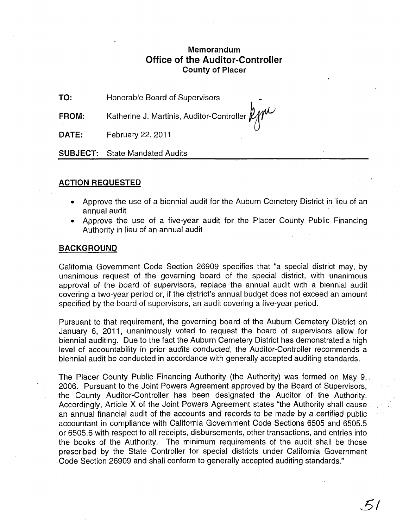# **Memorandum Office of the Auditor-Controller County of Placer**

**TO:**  Honorable Board of Supervisors •

**FROM:**  Katherine J. Martinis, Auditor-Controller  $\not| W^{\mathcal{U}}$ 

**DATE:**  February 22, 2011

**SUBJECT:** State Mandated Audits

# **ACTION REQUESTED**

- Approve the use of a biennial audit for the Auburn Cemetery District in lieu of an annual audit
- Approve the use of a five-year audit for the Placer County Public Financing Authority in lieu of an annual audit

# **BACKGROUND**

California Government Code Section 26909 specifies that "a special district may, by unanimous request of the governing board of the special district, with unanimous approval of the board of supervisors, replace the annual audit with a biennial audit covering a two-year period or, if the district's annual budget does not exceed an amount specified by the board of supervisors, an audit covering a five-year period.

Pursuant to that requirement, the governing board of the Auburn Cemetery District on January 6, 2011, unanimously voted to request the board of supervisors allow for biennial auditing. Due to the fact the Auburn Cemetery District has demonstrated a high level of accountability in prior audits conducted, the Auditor-Controller recommends a biennial audit be conducted in accordance with generally accepted auditing standards.

The Placer County Public Financing Authority (the Authority) was formed on May 9, • 2006. Pursuant to the Joint Powers Agreement approved by the Board of Supervisors, the County Auditor-Controller has been designated the Auditor of the Authority. Accordingly, Article X of the Joint Powers Agreement states "the Authority shall cause .. an annual financial audit of the accounts and records to be made by a certified public accountant in compliance with California Government Code Sections 6505 and 6505.5 or 6505.6 with respect to all receipts, disbursements, other transactions, and entries into the books of the Authority. The minimum requirements of the audit shall be those prescribed by the State Controller for special districts under California Government Code Section 26909 and shall conform to generally accepted auditing standards."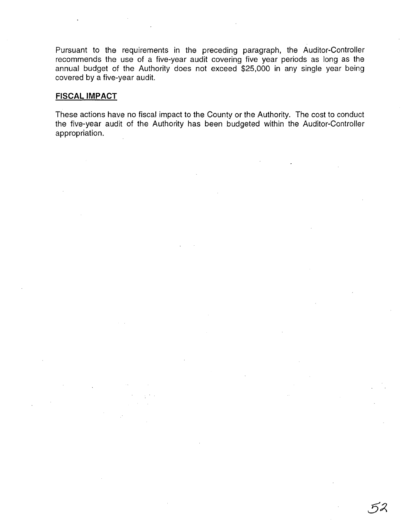Pursuant to the requirements in the preceding paragraph, the Auditor-Controller recommends the use of a five-year audit covering five year periods as long as the annual budget of the Authority does not exceed \$25,000 in any single year being covered by a five-year audit.

# **FISCAL IMPACT**

These actions have no fiscal impact to the County or the Authority. The cost to conduct the five-year audit of the Authority has been budgeted within the Auditor-Controller appropriation.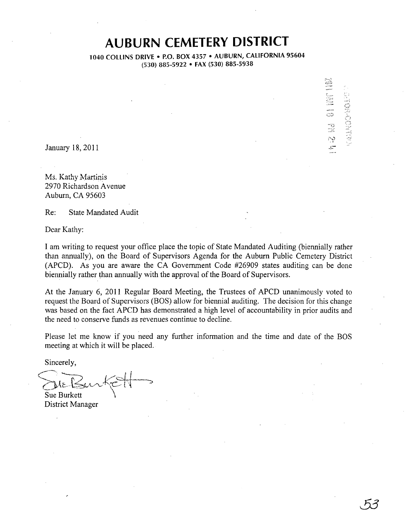# **AUBURN CEMETERY DISTRICT**

1040 COLLINS DRIVE . P.O. BOX 4357 . AUBURN, CALIFORNIA 95604 (530) 885-5922 • FAX (530) 885-5938

*•• .J* 

わろ

January 18,2011

Ms. Kathy Martinis 2970 Richardson A venue Auburn, CA 95603

Re: State Mandated Audit

Dear Kathy:

I am writing to request your office place the topic of State Mandated Auditing (biennially rather than annually), on the Board of Supervisors Agenda for the Auburn Public Cemetery District (APCD). As you are aware the CA Government Code #26909 states auditing can be done biennially rather than annually with the approval of the Board of Supervisors.

At the January 6, 2011 Regular Board Meeting, the Trustees of APCD unanimously voted to request the Board of Supervisors (BOS) allow for biennial auditing. The decision for this change was based on the fact APCD has demonstrated a high level of accountability in prior audits and the need to conserve funds as revenues continue to decline.

Please let me know if you need any further information and the time and date of the BOS meeting at which it will be placed.

Sincerely,

(r'--.... \_ .. '... ~-- ,.,. J.' i  $\sum_{k}B_{k}$   $\left\{\left|\left| \mathcal{L}_{k}\right|\right| \leq K-1\right\}$ Sue Burkett

District Manager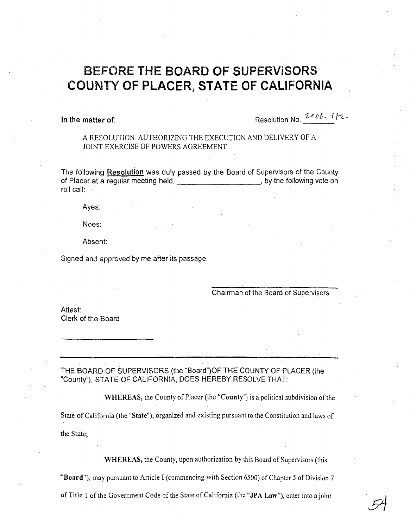# BEFORE THE BOARD OF SUPERVISORS COUNTY **OF** PLACER~ **STATE OF CALIFORNIA**

In the matter of:  $\qquad \qquad$  Resolution No.  $2e^{b}b - 112$ .

A RESOLUTION AUTHORIZING THE EXECUTION AND DELIVERY OF A JOINT EXERCISE OF POWERS AGREEMENT

The following Resolution was duly passed by the Board of Supervisors of the County of Placer at a regular meeting held, only by the following vote on roll call:

Ayes:

Noes:

Absent:

Signed and approved by me after its passage.

Chairman of the Board of Supervisors

Attest: Clerk of the Board

# THE BOARD OF SUPERVISORS (the "Board")OF THE COUNTY OF PLACER (the "County"), STATE OF CALIFORNIA, DOES HEREBY RESOLVE THAT:

WHEREAS, the County of Placer (the "County") is a political subdivision of the State of California (the "State"), organized and existing pursuant to the Constitution and laws of the State;

WHEREAS, the County, upon authorization by this Board of Supervisors (this

"Board"), may pursuant to Article I (commencing with Section 6500) of Chapter 5 of Division 7

of Title 1 of the Government Code of the State of California (the "JPA Law"), enter into a joint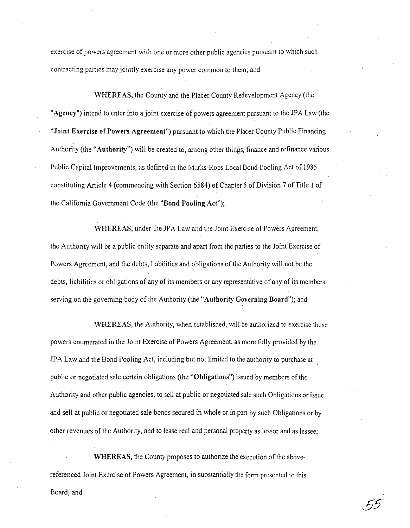exercise of powers agreement with one or more other public agencies pursuant to which such contracting parties may jointly exercise any power common to them; and

WHEREAS, the County and the Placer County Redevelopment Agency (the "Agency") intend to enter into a joint exercise of powers agreement pursuant to the JPA Law (the "Joint Exercise of Powers Agreement") pursuant to which the Placer County Public Financing Authority (the "Authority") will be created to, among other things, finance and refinance various Public Capital Improvements, as defined in the Marks-Roos Local Bond Pooling Act of 1985 constituting Article 4 (commencing with Section 6584) of Chapter 5 of Division 7 of Title I of the Califomia Government Code (the "Bond Pooling Act");

WHEREAS, under the JPA Law and the Joint Exercise of Powers Agreement, the Authority will be a public entity separate and apart from the parties to the Joint Exercise of Powers Agreement, and the debts, liabilities and obligations of the Authority will not be the debts, liabilities or obligations of any of its members or any representative of any of its members . serving on the governing body of the Authority (the "Authority Governing Board"); and

WHEREAS, the Authority, when established, Will be authorized to exercise those powers enumerated in the Joint Exercise of Powers Agreement, as more fully provided by the JPA Law and the Bond Pooling Act, including but not limited to the authority to purchase at public or negotiated sale certain obligations (the "Obligations") issued by members of the Authority and other public agencies, to sell at public or negotiated sale such Obligations or issue and sell at public or negotiated sale bonds secured in whole or in part by such Obligations or by other revenues of the Authority, and to lease real and personal property as lessor and as lessee;

WHEREAS, the County proposes to authorize the execution of the above- . referenced Joint Exercise of Powers Agreement, in substantially the form presented to this Board; and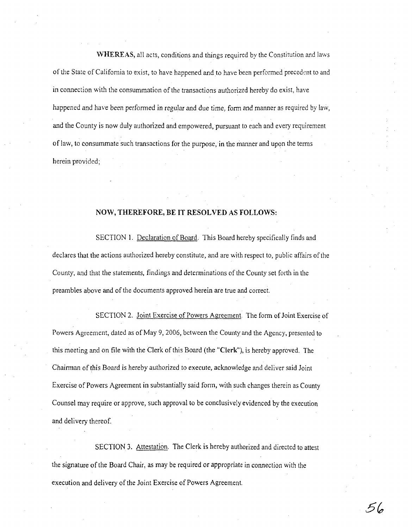WHEREAS, all acts, conditions and things required by the Constitution and laws of the State of California to exist, to have happened and to have been performed precedent to and in connection with the consummation of the transactions authorized hereby do exist, have happened and have been performed in regular and due time, form and manner as required by law, and the County is now duly authorized and empowered, pursuant to each and every requirement of law, to consummate such transactions for the purpose, in the manner and upon the terms herein provided;

# NOW, **THEREFORE, BE IT RESOLVED AS FOLLOWS:**

SECTION 1. Declaration of Board. This Board hereby specifically finds and declares that the actions authorized hereby constitute, and are with respect to, public affairs of the County, and that the statements, findings and determinations of the County set forth in the preambles above and of the documents approved herein are true and correct.

SECTION 2. Joint Exercise of Powers Agreement. The form of Joint Exercise of Powers Agreement, dated as of May 9, 2006, between the County and the Agency, presented to this meeting and on file with the Clerk of this Board (the "Clerk"), is hereby approved. The Chairman of this Board is hereby authorized to execute, acknowledge and deliver said loint Exercise of Powers Agreement in substantially said form, with such changes therein as County Counsel may require or approve, such approval to be conclusively evidenced by the execution and delivery thereof.

SECTION 3. Attestation. The Clerk is hereby authorized and directed to attest the signature of the Board Chair, as may be required or appropriate in connection with the execution and delivery of the Joint Exercise of Powers Agreement.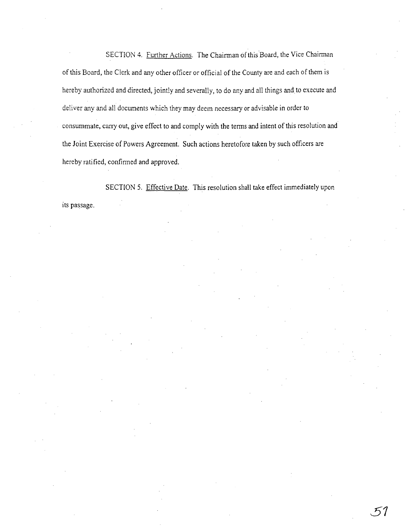SECTION 4. Further Actions. The Chairman of this Board, the Vice Chairman of this Board, the Clerk and any other officer or official of the County are and each of them is hereby authorized and directed, jointly and severally, to do any and all things and to execute and deliver any and all documents which they may deem necessary or advisable in order to consummate, carry out, give effect to and comply with the terms and intent of this resolution and the Joint Exercise of Powers Agreement. Such actions heretofore taken by such officers are hereby ratified, confinned and approved.

SECTION 5. Effective Date. This resolution shall take effect immediately upon its passage.

**51**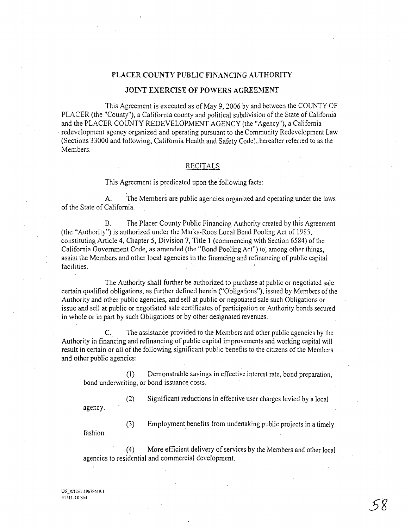#### PLACER COUNTY PUBLIC FINANCING AUTHORlTY

#### JOINT EXERCISE **OF** POWERS AGREEMENT

This Agreement is executed as of May 9, 2006 by and between the COUNTY OF PLACER (the "County"), a California county and political subdivision of the State of California and the PLACER COUNTY REDEVELOPMENT AGENCY (the "Agency"), a California redevelopment agency organized and operating pursuant to the Community Redevelopment Law (Sections 33000 and following, California Health and Safety Code), hereafter referred to as the Members.

## **RECITALS**

This Agreement is predicated upon the following facts:

A. The Members are public agencies organized and operating under the laws of the State of California.

B. The Placer County Public Financing Authority created by this Agreement (the "Authority") is authorized under the Marks-Roos Local Bond Pooling Act of 1985, constituting Article 4, Chapter 5, Division 7, Title 1 (commencing with Section 6584) of the California Government Code, as amended (the "Bond Pooling Act") to, among other things, assist the Members and other local agencies in the financing and refinancing of public capital facilities.

The Authority shall further be authorized to purchase at public or negotiated sale certain qualified obligations, as further defined herein ("Obligations"), issued by Members of the Authority and other public agencies, and sell at public or negotiated sale such Obligations or issue and sell at public or negotiated sale certificates of participation or Authority bonds secured in whole or in part by such Obligations or by other designated revenues.

C. The assistance provided to the Members and other public agencies by the Authority in financing and refinancing of public capital improvements and working capital will result in certain or all of the following significant public benefits to the citizens of the Members and other public agencies:

(1) Demonstrable savings in effective interest rate, bond preparation, bond underwriting, or bond issuance costs.

agency.

(2) Significant reductions in effective user charges levied by a local

fashion.

(3) Employment benefits from undertaking public projects in a timely

(4) More efficient delivery of services by the Members and other local agencies to residential and commercial development.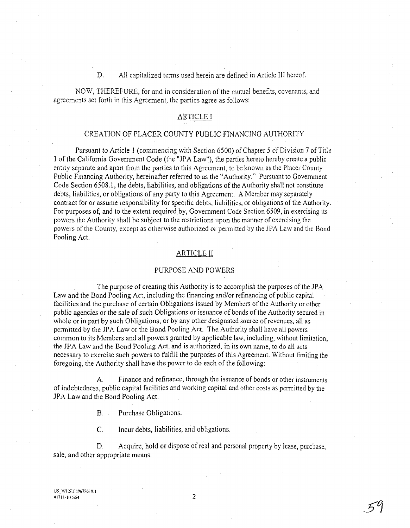D. All capitalized terms used herein are defined in Article III hereof.

NOW, THEREFORE, for and in consideration of the mutual benefits, covenants, and agreements set forth in this Agreement, the parties agree as follows:

# ARTICLE I

# CREATION OF PLACER COUNTY PUBLIC FINANCING AUTHORITY

Pursuant to Article 1 (commencing with Section 6500) of Chapter 5 of Division 7 of Title 1 of the California Government Code (the "JPA Law"), the parties hereto hereby create a public entity separate and apart from the parties to this Agreement, to be known as the Placer County Public Financing Authority, hereinafter referred to as the "Authority." Pursuant to Government Code Section 6508.1, the debts, liabilities, and obligations of the Authority shall not constitute debts, liabilities, or obligations of any party to this Agreement. A Member may separately contract for or assume responsibility for specific debts, liabilities, or obligations of the Authority. For purposes of, and to the extent required by, Government Code Section 6509, in exercising its powers the Authority shall be subject to the restrictions upon the inanner of exercising the powers of the County, except as otherwise authorized or permitted by the JPA Law and the Bond Pooling Act.

#### ARTICLE II

## PURPOSE AND POWERS

The purpose of creating this Authority is to accomplish the purposes of the JPA Law and the Bond Pooling Act, including the financing and/or refinancing of public capital facilities and the purchase of certain Obligations issued by Members of the Authority or other *public* agencies or the *sale* of such Obligations or issuance of bonds of the Authority secured in whole or in part by such Obligations, or by any other designated source of revenues, all as permitted by the JPA Law or the Bond Pooling Act. The Authority shall have all powers common to its Members and all powers granted by applicable law, including, without limitation, the JPA Law and the Bond Pooling Act, and is authorized, in its own name, to do all acts necessary to exercise such powers to fulfill the purposes of this Agreement. Without limiting the foregoing, the Authority shall have the power to do each of the following:

A. Finance and refinance, through the issuance of bonds or other instruments of indebtedness, public capital facilities and working capital and other costs as pennitted by the JPA Law and the Bond Pooling Act.

B. Purchase Obligations.

C. Incur debts, liabilities, and obligations.

D. Acquire, hold or dispose of real and personal property by lease, purchase, sale, and other appropriate means.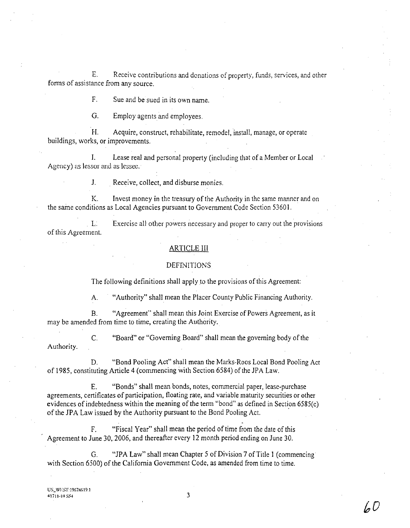E. Receive contributions and donations of property, funds, services, and other fonns of assistance from any source.

F. Sue and be sued in its own name.

G. Employ agents and employees.

H. Acquire, construct, rehabilitate, remodel, install, manage, or operate buildings, works, or improvements.

1. Lease real and personal property (including that of a Member or Local Agency) as lessor and as lessee.

1. Receive, collect, and disburse monies.

K. Invest money in the treasury of the Authority in the same manner and on the same conditions as Local Agencies pursuant to Government Code Section 53601.

L: Exercise all other powers necessary and proper to carry out the provisions of this Agreement.

#### ARTICLE III

## **DEFINITIONS**

The following definitions shall apply to the provisions of this Agreement:

A. "Authority" shall mean the Placer County Public Financing Authority.

B. "Agreement" shall mean this Joint Exercise of Powers Agreement, as it may be amended from time to time, creating the Authority.

C. "Board" or "Governing Board" shall mean the governing body of the Authority.

D. "Bond Pooling Act" shall mean the Marks-Roos Local Bond Pooling Act of 1985, constituting Article 4 (commencing with Section 6584) of the JPA Law.

E. "Bonds" shall mean bonds, notes, commercial paper, lease-purchase agreements, certificates of participation, floating rate, and variable maturity securities or other evidences of indebtedness within the meaning of the term "bond" as defined in Section 6585(c) of the JPA Law issued by the Authority pursuant to the Bond Pooling Act.

F. "Fiscal Year" shall mean the period of time from the date of this Agreement to June 30,2006, and thereafter every 12 month period ending on June 30.

G. *"lPA* Law" shall mean Chapter 5 of Division 7 of Title 1 (commencing with Section 6500) of the California Government Code, as amended from time to time.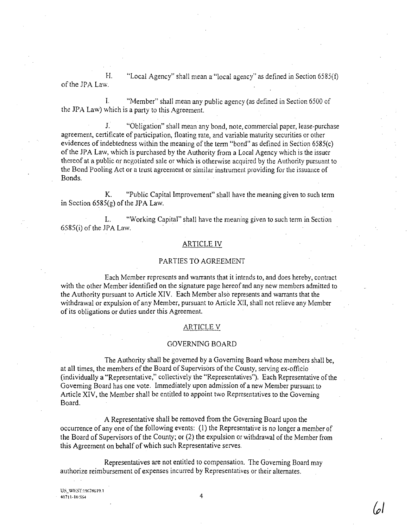H. "Local Agency" shall mean a "local agency" as defined in Section 6585(f) of the JPA Law.

I. "Member" shall mean any public agency (as defined in Section *6500* of the JPA Law) which is a party to this Agreement.

1. "Obligation" shall mean any bond, note, commercial paper, lease-purchase agreement, certificate of participation, floating rate, and variable maturity securities or other evidences of indebtedness within the meaning of the term "bond" as defined in Section 6585(c) of the JPA Law, which is purchased by the Authority from a Local Agency which is the issuer thereof at a public or negotiated sale or which is otherwise acquired by the Authority pursuant to the Bond Pooling Act or a trust agreement or similar instrument providing for the issuance of Bonds.

K. "Public Capital Improvement" shall have the meaning given to such term in Section 6585(g) of the JPA Law.

L. "Working Capital" shall have the meaning given to such term in Section 6585(i) of the JPA Law.

## ARTICLE IV

#### PARTIES TO AGREEMENT

Each Member represents and warrants that it intends to, and does hereby, contract with the other Member identified on the signature page hereof and any new members admitted to the Authority pursuant to Article XIV. Each Member also represents and warrants that the withdrawal or expulsion of any Member, pursuant to Article XII, shall not relieve any Member of its obligations or duties under this Agreement.

#### **ARTICLE V**

#### GOVERNING BOARD

The Authority shall be governed by a Governing Board whose members shall be, at all times, the members of the Board of Supervisors of the County, serving ex-officio (individually a "Representative," collectively the "Representatives"). Each Representative of the Governing Board has one vote. Immediately upon admission of a new Member pursuant to Article XIV, the Member shall be entitled to appoint two Representatives to the Governing Board.

A Representative shall be removed from the Governing Board upon the occurrence of anyone of the following events: (I) the Representative is no longer a member of the Board of Supervisors of the County; or (2) the expulsion or withdrawal of the Member from this Agreement on behalf of which such Representative serves.

Representatives are not entitled to compensation. The Governing Board may authorize reimbursement of expenses incurred by Representatives or their alternates.

US\_WEST: 19678619.1  $41711 \cdot 10$  SS4 4

**{PI**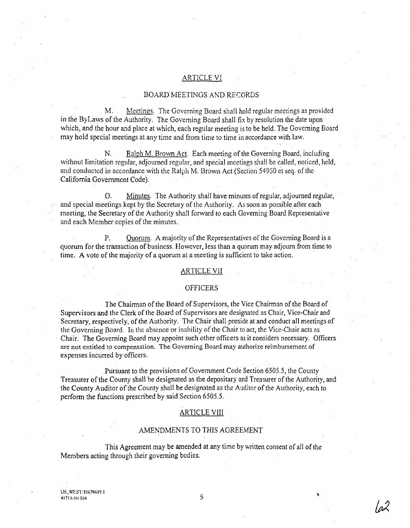### ARTICLE VI

#### BOARD MEETINGS AND RECORDS

M. Meetings. The Governing Board shall hold regular meetings as provided in the ByLaws of the Authority. The Governing Board shall fix by resolution the date upon which, and the hour and place at which, each regular meeting is to be held. The Governing Board may hold special meetings at any time and from time to time in accordance with law.

N. Ralph M. Brown Act. Each meeting of the Governing Board, including without limitation regular, adjourned regular, and special meetings shall be called, noticed, held, and conducted in accordance with the Ralph M. Brown Act (Section 54950 et seq. of the California Government Code).

O. Minutes. The Authority shall have minutes of regular, adjourned regular,· and special meetings kept by the Secretary of the Authority. As soon as possible after each meeting, the Secretary of the Authority shall forward to each Governing Board Representative and each Member copies of the minutes.

P. Ouorum. A majority of the Representatives of the Governing Board is a quorum for the transaction of business. However, less than a quorum may adjourn from time to time. A vote of the majority of a quorum at a meeting is sufficient to take action.

#### **ARTICLE VII**

# OFFICERS

The Chairman of the Board of Supervisors, the Vice Chairman of the Board of Supervisors and the Clerk of the Board of Supervisors are designated as Chair, Vice-Chair and Secretary, respectively, of the Authority. The Chair shall preside at and conduct all meetings of the Governing Board. In the absence or inability of tile Chair to act, the Vice-Chair *acts* as . Chair. The Governing Board may appoint such other officers as it considers necessary. Officers are not entitled to compensation. The Governing Board may authorize reimbursement of expenses incurred by officers.

Pursuant to the provisions of Government Code Section 6505.5, the County Treasurer of the County shall be designated as the depositary and Treasurer of the Authority, and the County Auditor of the County shall be designated as the Auditor of the Authority, each to perform the functions prescribed by said Section 6505.5.

#### ARTICLE VIII

# AMENDMENTS TO THIS AGREEMENT

This Agreement may be amended at any time by written consent of all of the Members acting through their governing bodies.

US\_WEST:19678619.1 <sup>1</sup>/<sub>1711-110</sub> ss\* 5<br> $\frac{1711-111}{5}$ 

کہ ا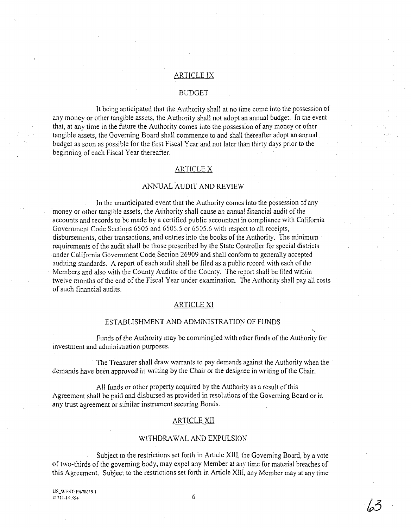# ARTICLE IX

#### BuDGET

It being anticipated that the Authority shall at no time come into the possession of any money or other tangible assets, the Authority shall not adopt an annual budget. In the event that, at any time in the future the Authority comes into the possession of any money or other tangible assets, the Governing Board shall commence to and shall thereafter adopt an annual budget as soon as possible for the first Fiscal Year and not later than thirty days prior to the beginning of each Fiscal Year thereafter.

# ARTICLE X

# ANNUAL AUDIT AND REVIEW

In the unanticipated event that the Authority comes into the possession of any money or other tangible assets, the Authority shall cause an annual financial audit of the accounts and records to be made by a certified public accountant in compliance with California Government Code Sections 6505 and 6505.5 or 6505.6 with respect to all receipts, disbursements, other transactions, and entries into the books of the Authority. The minimum requirements of the audit shall be those prescribed by the State Controller for special districts . under California Government Code Section 26909 and shall conform to generally accepted auditing standards. A report of each audit shall be filed as a public record with each of the Members and also with the County Auditor of the County. The report shall be filed within twelve months of the end of the Fiscal Year under examination. The Authority shall pay all costs of such financial audits.

#### ARTICLE Xl

#### ESTABLISHMENT AND ADMINISTRATION OF FUNDS

Funds of the Authority may be commingled with other funds of the Authority for investment and administration purposes.

The Treasurer shall draw warrants to pay demands against the Authority when the demands have been approved in writing by the Chair or the designee in writing of the Chair.

All funds or other property acquired by the Authority as a result of this Agreement shall be paid and disbursed as provided in resolutions of the Governing Board or in any trust agreement or similar instrument securing Bonds.

### ARTICLE XII

#### WITHDRAWAL AND EXPULSION

Subject to the restrictions set forth in Article XIII, the Governing Board, by a vote of two-thirds of the governing body, may expel any Member at any time for material breaches of this Agreement. Subject to the restrictions set forth in Article *XlII,* any Member may at any time

US\_WEST:19678619.1  $41711-10$  SS4 6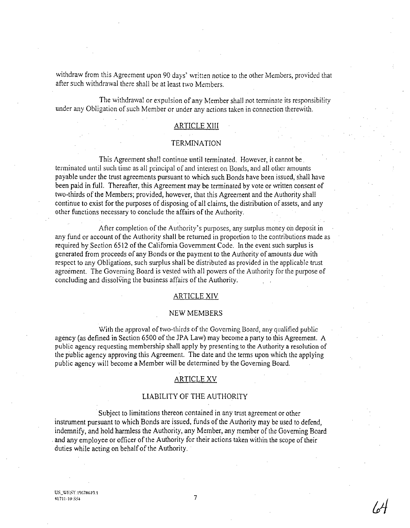withdraw from this Agreement upon 90 days' written notice to the other Members, provided that after such withdrawal there shall be at least two Members.

The withdrawal or expulsion of any Member shall not terminate its responsibility under any Obligation of such Member or under any actions taken in connection therewith.

# ARTICLE XIII

## **TERMINATION**

This Agreement shall continue until terminated. However, it cannot be. terminated until such time as all principal of and interest on Bonds, and all other amounts payable under the trust agreements pursuant to which such Bonds have been issued, shall have been paid in full. Thereafter, this Agreement may be terminated by vote or written consent of two-thirds of the Members; provided, however, that this Agreement and the Authority shall continue to exist for the purposes of disposing of all claims, the distribution of assets, and any other functions necessary to conclude the affairs of the Authority.

After completion of the Authority's purposes, any surplus money on deposit in any fund or account of the Authority shall be returned in proportion to the contributions made as required by Section 6512 of the California Government Code. In the event such surplus is generated from proceeds of any Bonds or the payment to the Authority of amounts due with respect to any Obligations, such surplus shall be distributed as provided in the applicable trust agreement. The Govcming Board is vested with all powers of the Authority for the purpose of concluding and dissolving the business affairs of the Authority.

#### ARTICLE XIV

#### NEW MEMBERS

With the approval of two-thirds of the Governing Board, any qualified public agency (as defined in Section 6500 of the JPA Law) may become a party to this Agreement. A public agency requesting membership shall apply by presenting to the Authority a resolution of the public agency approving this Agreement. The date and the terms upon which the applying public agency will become a Member will be determined by the Governing Board.

### ARTICLE XV

# LIABILITY OF THE AUTHORITY

. Subject to limitations thereon contained in any trust agreement or other instrument pursuant to which Bonds are issued, funds of the Authority may be used to defend, indemnify, and hold harmless the Authority, any Member, any member of the Governing Board . and any employee or officer of the Authority for their actions taken within the scope of their duties while acting on behalf of the Authority.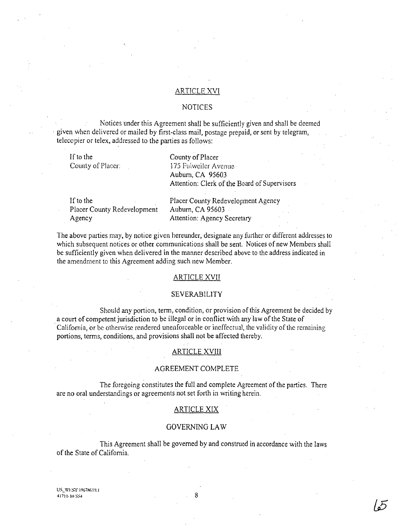# ARTICLE XVI

### NOTICES

Notices under this Agreement shall be sufficiently given and shall be deemed . given when delivered or mailed by first-class mail, postage prepaid, or sent by telegram, telecopier or telex, addressed to the parties as follows:

If to the County of Placer: County of Placer 17S FuiweiJcr Avenue Auburn, CA 95603 Attention: Clerk of the Board of Supervisors

If to the Placer County Redevelopment Agency

Placer County Redevelopment Agency Auburn, CA 95603 Attention: Agency Secretary

The above parties may, by notice given hereunder, designate any further or different addresses to which subsequent notices or other communications shall be sent. Notices of new Members shall be sufficiently given when delivered in the manner described above to the address indicated in the amendment to this Agreement adding such new Member.

#### ARTICLE XVII

# SEVERABILITY

Should any portion, term, condition, or provision of this Agreement be decided by a court of competent jurisdiction to be illegal or in conflict with any law of the State of California, or be otherwise rendered unenforceable or ineffectual, the validity of the remaining portions, terms, conditions, and provisions shall not be affected thereby.

# ARTICLE XVIII

#### AGREEMENT COMPLETE

The foregoing constitutes the full and complete Agreement of the parties. There are no oral understandings or agreements not set forth in writing herein.

# ARTICLE XIX

# GOVERNING LA W

This Agreement shall be governed by and construed in accordance with the laws of the State of California.

US\_WEST:19678619.1  $41711 \cdot 10$  SS4 8

15